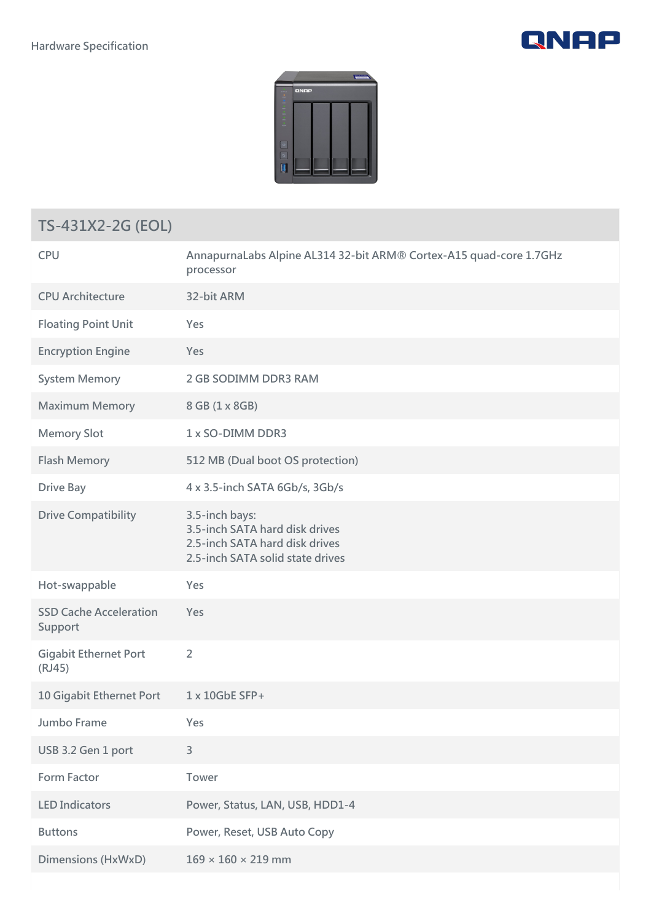



## **TS-431X2-2G (EOL)**

| <b>CPU</b>                               | AnnapurnaLabs Alpine AL314 32-bit ARM® Cortex-A15 quad-core 1.7GHz<br>processor                                        |
|------------------------------------------|------------------------------------------------------------------------------------------------------------------------|
| <b>CPU Architecture</b>                  | 32-bit ARM                                                                                                             |
| <b>Floating Point Unit</b>               | Yes                                                                                                                    |
| <b>Encryption Engine</b>                 | Yes                                                                                                                    |
| <b>System Memory</b>                     | 2 GB SODIMM DDR3 RAM                                                                                                   |
| <b>Maximum Memory</b>                    | 8 GB (1 x 8 GB)                                                                                                        |
| <b>Memory Slot</b>                       | 1 x SO-DIMM DDR3                                                                                                       |
| <b>Flash Memory</b>                      | 512 MB (Dual boot OS protection)                                                                                       |
| <b>Drive Bay</b>                         | 4 x 3.5-inch SATA 6Gb/s, 3Gb/s                                                                                         |
| <b>Drive Compatibility</b>               | 3.5-inch bays:<br>3.5-inch SATA hard disk drives<br>2.5-inch SATA hard disk drives<br>2.5-inch SATA solid state drives |
| Hot-swappable                            | Yes                                                                                                                    |
| <b>SSD Cache Acceleration</b><br>Support | Yes                                                                                                                    |
| <b>Gigabit Ethernet Port</b><br>(RJ45)   | $\overline{2}$                                                                                                         |
| 10 Gigabit Ethernet Port                 | 1 x 10GbE SFP+                                                                                                         |
| Jumbo Frame                              | Yes                                                                                                                    |
| USB 3.2 Gen 1 port                       | 3                                                                                                                      |
| <b>Form Factor</b>                       | Tower                                                                                                                  |
| <b>LED Indicators</b>                    | Power, Status, LAN, USB, HDD1-4                                                                                        |
| <b>Buttons</b>                           | Power, Reset, USB Auto Copy                                                                                            |
| <b>Dimensions (HxWxD)</b>                | $169 \times 160 \times 219$ mm                                                                                         |